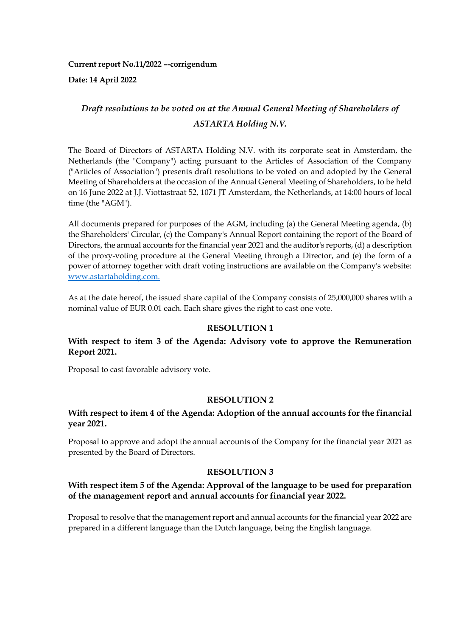**Current report No.11/2022 –-corrigendum Date: 14 April 2022**

# *Draft resolutions to be voted on at the Annual General Meeting of Shareholders of ASTARTA Holding N.V.*

The Board of Directors of ASTARTA Holding N.V. with its corporate seat in Amsterdam, the Netherlands (the "Company") acting pursuant to the Articles of Association of the Company ("Articles of Association") presents draft resolutions to be voted on and adopted by the General Meeting of Shareholders at the occasion of the Annual General Meeting of Shareholders, to be held on 16 June 2022 at J.J. Viottastraat 52, 1071 JT Amsterdam, the Netherlands, at 14:00 hours of local time (the "AGM").

All documents prepared for purposes of the AGM, including (a) the General Meeting agenda, (b) the Shareholders' Circular, (c) the Company's Annual Report containing the report of the Board of Directors, the annual accounts for the financial year 2021 and the auditor's reports, (d) a description of the proxy-voting procedure at the General Meeting through a Director, and (e) the form of a power of attorney together with draft voting instructions are available on the Company's website: www.astartaholding.com.

As at the date hereof, the issued share capital of the Company consists of 25,000,000 shares with a nominal value of EUR 0.01 each. Each share gives the right to cast one vote.

#### **RESOLUTION 1**

## **With respect to item 3 of the Agenda: Advisory vote to approve the Remuneration Report 2021.**

Proposal to cast favorable advisory vote.

#### **RESOLUTION 2**

### **With respect to item 4 of the Agenda: Adoption of the annual accounts for the financial year 2021.**

Proposal to approve and adopt the annual accounts of the Company for the financial year 2021 as presented by the Board of Directors.

#### **RESOLUTION 3**

## **With respect item 5 of the Agenda: Approval of the language to be used for preparation of the management report and annual accounts for financial year 2022.**

Proposal to resolve that the management report and annual accounts for the financial year 2022 are prepared in a different language than the Dutch language, being the English language.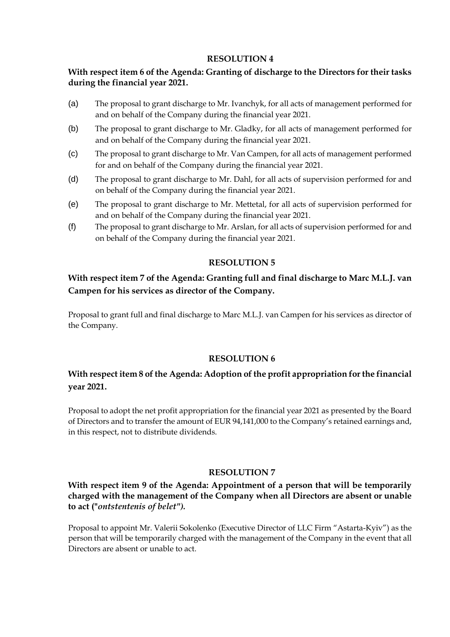## **RESOLUTION 4**

# **With respect item 6 of the Agenda: Granting of discharge to the Directors for their tasks during the financial year 2021.**

- (a) The proposal to grant discharge to Mr. Ivanchyk, for all acts of management performed for and on behalf of the Company during the financial year 2021.
- (b) The proposal to grant discharge to Mr. Gladky, for all acts of management performed for and on behalf of the Company during the financial year 2021.
- (c) The proposal to grant discharge to Mr. Van Campen, for all acts of management performed for and on behalf of the Company during the financial year 2021.
- (d) The proposal to grant discharge to Mr. Dahl, for all acts of supervision performed for and on behalf of the Company during the financial year 2021.
- (e) The proposal to grant discharge to Mr. Mettetal, for all acts of supervision performed for and on behalf of the Company during the financial year 2021.
- (f) The proposal to grant discharge to Mr. Arslan, for all acts of supervision performed for and on behalf of the Company during the financial year 2021.

# **RESOLUTION 5**

# **With respect item 7 of the Agenda: Granting full and final discharge to Marc M.L.J. van Campen for his services as director of the Company.**

Proposal to grant full and final discharge to Marc M.L.J. van Campen for his services as director of the Company.

## **RESOLUTION 6**

# **With respect item 8 of the Agenda: Adoption of the profit appropriation for the financial year 2021.**

Proposal to adopt the net profit appropriation for the financial year 2021 as presented by the Board of Directors and to transfer the amount of EUR 94,141,000 to the Company's retained earnings and, in this respect, not to distribute dividends.

## **RESOLUTION 7**

## **With respect item 9 of the Agenda: Appointment of a person that will be temporarily charged with the management of the Company when all Directors are absent or unable to act ("***ontstentenis of belet").*

Proposal to appoint Mr. Valerii Sokolenko (Executive Director of LLC Firm "Astarta-Kyiv") as the person that will be temporarily charged with the management of the Company in the event that all Directors are absent or unable to act.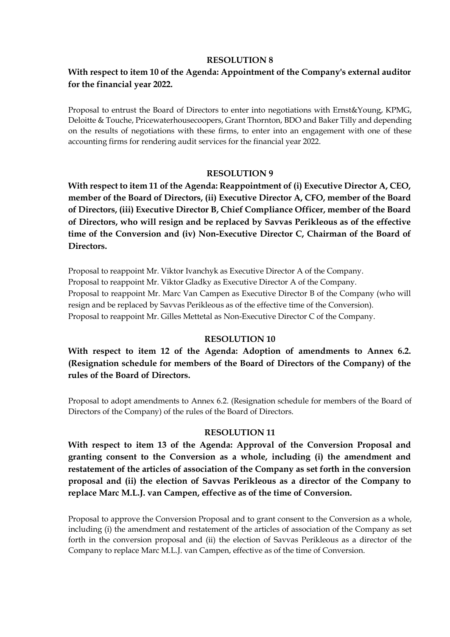### **RESOLUTION 8**

# **With respect to item 10 of the Agenda: Appointment of the Company's external auditor for the financial year 2022.**

Proposal to entrust the Board of Directors to enter into negotiations with Ernst&Young, KPMG, Deloitte & Touche, Pricewaterhousecoopers, Grant Thornton, BDO and Baker Tilly and depending on the results of negotiations with these firms, to enter into an engagement with one of these accounting firms for rendering audit services for the financial year 2022.

## **RESOLUTION 9**

**With respect to item 11 of the Agenda: Reappointment of (i) Executive Director A, CEO, member of the Board of Directors, (ii) Executive Director A, CFO, member of the Board of Directors, (iii) Executive Director B, Chief Compliance Officer, member of the Board of Directors, who will resign and be replaced by Savvas Perikleous as of the effective time of the Conversion and (iv) Non-Executive Director C, Chairman of the Board of Directors.**

Proposal to reappoint Mr. Viktor Ivanchyk as Executive Director A of the Company. Proposal to reappoint Mr. Viktor Gladky as Executive Director A of the Company. Proposal to reappoint Mr. Marc Van Campen as Executive Director B of the Company (who will resign and be replaced by Savvas Perikleous as of the effective time of the Conversion). Proposal to reappoint Mr. Gilles Mettetal as Non-Executive Director C of the Company.

## **RESOLUTION 10**

**With respect to item 12 of the Agenda: Adoption of amendments to Annex 6.2. (Resignation schedule for members of the Board of Directors of the Company) of the rules of the Board of Directors.**

Proposal to adopt amendments to Annex 6.2. (Resignation schedule for members of the Board of Directors of the Company) of the rules of the Board of Directors.

#### **RESOLUTION 11**

**With respect to item 13 of the Agenda: Approval of the Conversion Proposal and granting consent to the Conversion as a whole, including (i) the amendment and restatement of the articles of association of the Company as set forth in the conversion proposal and (ii) the election of Savvas Perikleous as a director of the Company to replace Marc M.L.J. van Campen, effective as of the time of Conversion.**

Proposal to approve the Conversion Proposal and to grant consent to the Conversion as a whole, including (i) the amendment and restatement of the articles of association of the Company as set forth in the conversion proposal and (ii) the election of Savvas Perikleous as a director of the Company to replace Marc M.L.J. van Campen, effective as of the time of Conversion.